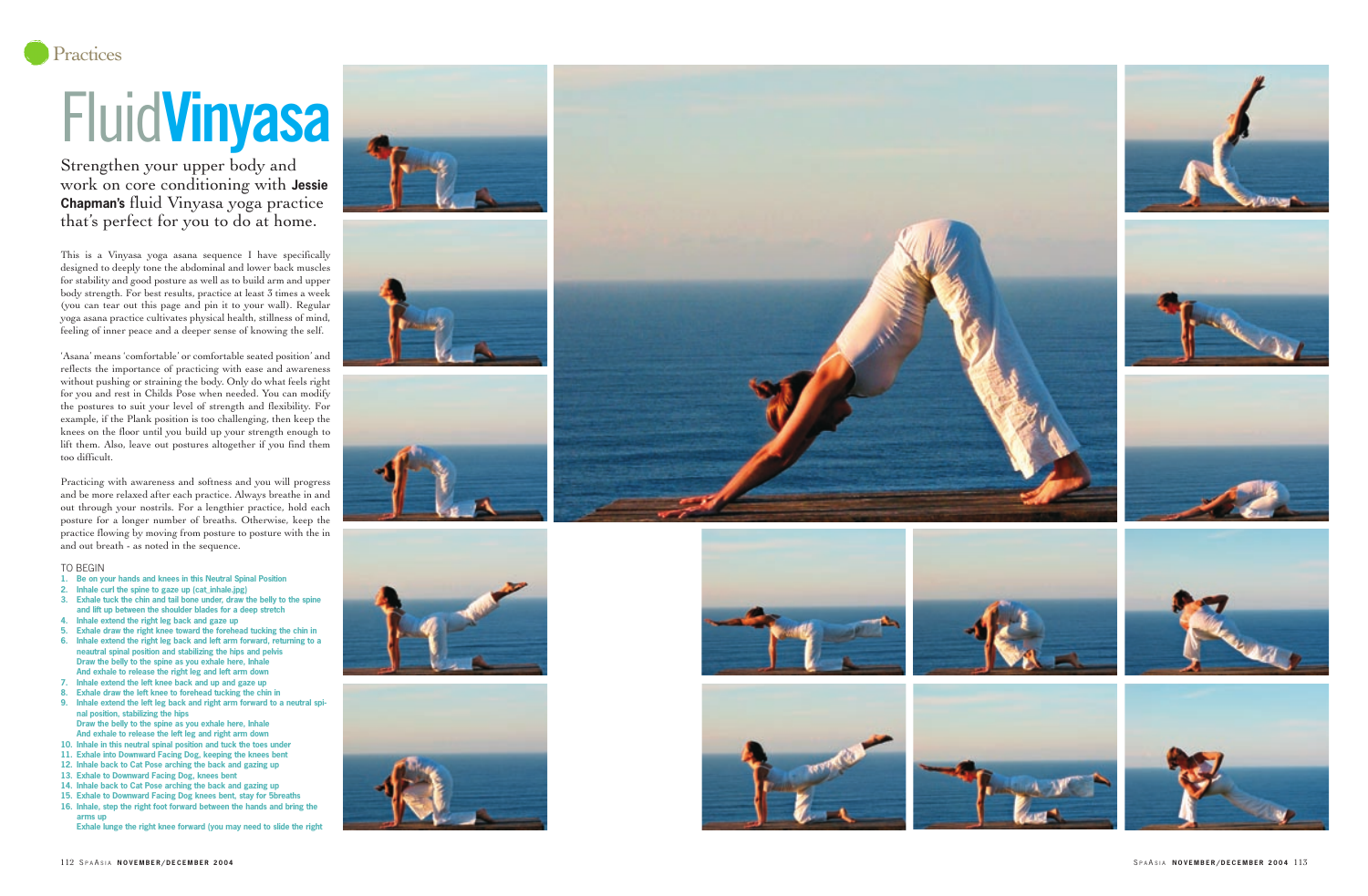

This is a Vinyasa yoga asana sequence I have specifically designed to deeply tone the abdominal and lower back muscles for stability and good posture as well as to build arm and upper body strength. For best results, practice at least 3 times a week (you can tear out this page and pin it to your wall). Regular yoga asana practice cultivates physical health, stillness of mind, feeling of inner peace and a deeper sense of knowing the self.

'Asana' means 'comfortable' or comfortable seated position' and reflects the importance of practicing with ease and awareness without pushing or straining the body. Only do what feels right for you and rest in Childs Pose when needed. You can modify the postures to suit your level of strength and flexibility. For example, if the Plank position is too challenging, then keep the knees on the floor until you build up your strength enough to lift them. Also, leave out postures altogether if you find them too difficult.

Practicing with awareness and softness and you will progress and be more relaxed after each practice. Always breathe in and out through your nostrils. For a lengthier practice, hold each posture for a longer number of breaths. Otherwise, keep the practice flowing by moving from posture to posture with the in and out breath - as noted in the sequence.

## TO BEGIN

- **1. Be on your hands and knees in this Neutral Spinal Position**
- **2. Inhale curl the spine to gaze up (cat\_inhale.jpg)**
- **3. Exhale tuck the chin and tail bone under, draw the belly to the spine and lift up between the shoulder blades for a deep stretch**
- **4. Inhale extend the right leg back and gaze up**
- **5. Exhale draw the right knee toward the forehead tucking the chin in 6. Inhale extend the right leg back and left arm forward, returning to a**
- **neautral spinal position and stabilizing the hips and pelvis Draw the belly to the spine as you exhale here, Inhale And exhale to release the right leg and left arm down**
- **7. Inhale extend the left knee back and up and gaze up**
- **8. Exhale draw the left knee to forehead tucking the chin in**
- **9. Inhale extend the left leg back and right arm forward to a neutral spi nal position, stabilizing the hips Draw the belly to the spine as you exhale here, Inhale**
- **And exhale to release the left leg and right arm down 10. Inhale in this neutral spinal position and tuck the toes under**
- **11. Exhale into Downward Facing Dog, keeping the knees bent**
- **12. Inhale back to Cat Pose arching the back and gazing up**
- **13. Exhale to Downward Facing Dog, knees bent**
- **14. Inhale back to Cat Pose arching the back and gazing up 15. Exhale to Downward Facing Dog knees bent, stay for 5breaths**
- **16. Inhale, step the right foot forward between the hands and bring the arms up** 
	- **Exhale lunge the right knee forward (you may need to slide the right**













## Fluid**Vinyasa**

Strengthen your upper body and work on core conditioning with **Jessie Chapman's** fluid Vinyasa yoga practice that's perfect for you to do at home.